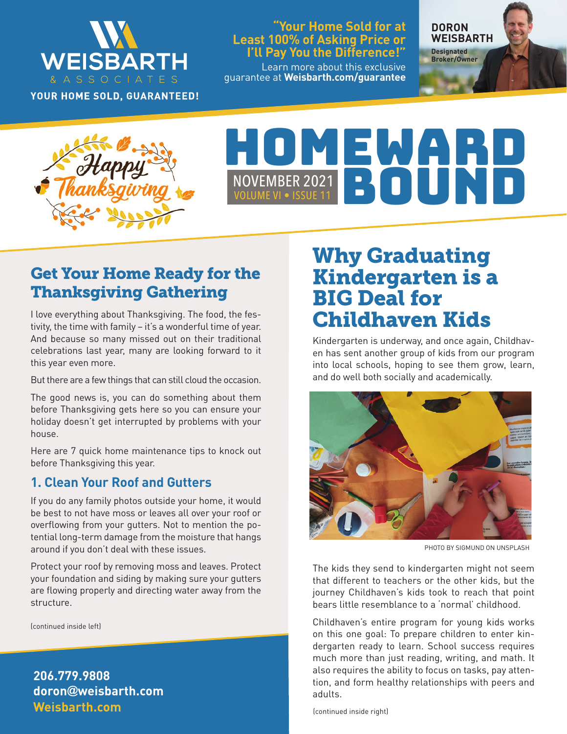

YOUR HOME SOLD, GUARANTEED!

#### **"Your Home Sold for at Least 100% of Asking Price or I'll Pay You the Difference!"**

Learn more about this exclusive guarantee at **Weisbarth.com/guarantee** **DORON WEISBARTH Designated** 

**Broker/Owner**

**Happy Real Estation Res** 

# NOVEMBER 2021<br>VOLUME VI • ISSUE 11

# Get Your Home Ready for the Thanksgiving Gathering

I love everything about Thanksgiving. The food, the festivity, the time with family – it's a wonderful time of year. And because so many missed out on their traditional celebrations last year, many are looking forward to it this year even more.

But there are a few things that can still cloud the occasion.

The good news is, you can do something about them before Thanksgiving gets here so you can ensure your holiday doesn't get interrupted by problems with your house.

Here are 7 quick home maintenance tips to knock out before Thanksgiving this year.

### **1. Clean Your Roof and Gutters**

If you do any family photos outside your home, it would be best to not have moss or leaves all over your roof or overflowing from your gutters. Not to mention the potential long-term damage from the moisture that hangs around if you don't deal with these issues.

Protect your roof by removing moss and leaves. Protect your foundation and siding by making sure your gutters are flowing properly and directing water away from the structure.

(continued inside left)

**Weisbarth.com 206.779.9808 doron@weisbarth.com**

# Why Graduating Kindergarten is a BIG Deal for Childhaven Kids

Kindergarten is underway, and once again, Childhaven has sent another group of kids from our program into local schools, hoping to see them grow, learn, and do well both socially and academically.



PHOTO BY SIGMUND ON UNSPLASH

The kids they send to kindergarten might not seem that different to teachers or the other kids, but the journey Childhaven's kids took to reach that point bears little resemblance to a 'normal' childhood.

Childhaven's entire program for young kids works on this one goal: To prepare children to enter kindergarten ready to learn. School success requires much more than just reading, writing, and math. It also requires the ability to focus on tasks, pay attention, and form healthy relationships with peers and adults.

(continued inside right)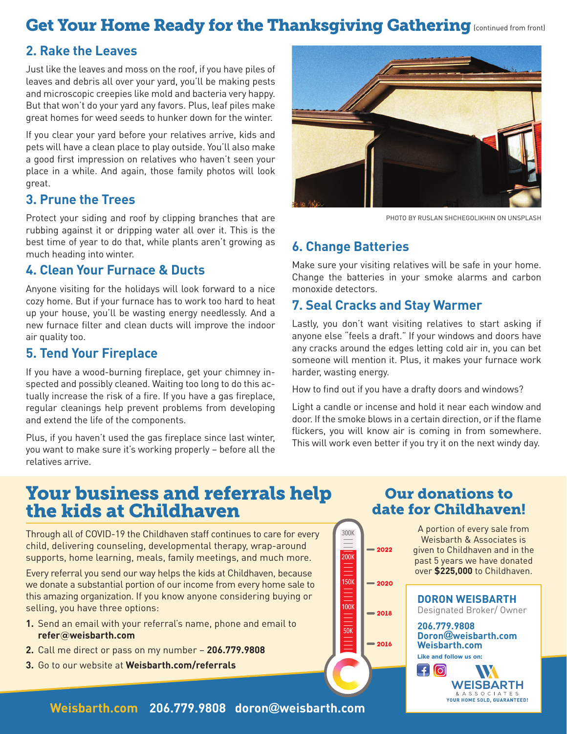# Get Your Home Ready for the Thanksgiving Gathering [continued from front]

## **2. Rake the Leaves**

Just like the leaves and moss on the roof, if you have piles of leaves and debris all over your yard, you'll be making pests and microscopic creepies like mold and bacteria very happy. But that won't do your yard any favors. Plus, leaf piles make great homes for weed seeds to hunker down for the winter.

If you clear your yard before your relatives arrive, kids and pets will have a clean place to play outside. You'll also make a good first impression on relatives who haven't seen your place in a while. And again, those family photos will look great.

#### **3. Prune the Trees**

Protect your siding and roof by clipping branches that are rubbing against it or dripping water all over it. This is the best time of year to do that, while plants aren't growing as much heading into winter.

### **4. Clean Your Furnace & Ducts**

Anyone visiting for the holidays will look forward to a nice cozy home. But if your furnace has to work too hard to heat up your house, you'll be wasting energy needlessly. And a new furnace filter and clean ducts will improve the indoor air quality too.

### **5. Tend Your Fireplace**

If you have a wood-burning fireplace, get your chimney inspected and possibly cleaned. Waiting too long to do this actually increase the risk of a fire. If you have a gas fireplace, regular cleanings help prevent problems from developing and extend the life of the components.

Plus, if you haven't used the gas fireplace since last winter, you want to make sure it's working properly – before all the relatives arrive.



PHOTO BY RUSLAN SHCHEGOLIKHIN ON UNSPLASH

# **6. Change Batteries**

Make sure your visiting relatives will be safe in your home. Change the batteries in your smoke alarms and carbon monoxide detectors.

# **7. Seal Cracks and Stay Warmer**

Lastly, you don't want visiting relatives to start asking if anyone else "feels a draft." If your windows and doors have any cracks around the edges letting cold air in, you can bet someone will mention it. Plus, it makes your furnace work harder, wasting energy.

How to find out if you have a drafty doors and windows?

Light a candle or incense and hold it near each window and door. If the smoke blows in a certain direction, or if the flame flickers, you will know air is coming in from somewhere. This will work even better if you try it on the next windy day.

# Your business and referrals help the kids at Childhaven

Through all of COVID-19 the Childhaven staff continues to care for every child, delivering counseling, developmental therapy, wrap-around supports, home learning, meals, family meetings, and much more.

Every referral you send our way helps the kids at Childhaven, because we donate a substantial portion of our income from every home sale to this amazing organization. If you know anyone considering buying or selling, you have three options:

- **1.** Send an email with your referral's name, phone and email to **refer@weisbarth.com**
- **2.** Call me direct or pass on my number **206.779.9808**
- **3.** Go to our website at **Weisbarth.com/referrals**

Our donations to date for Childhaven!

A portion of every sale from Weisbarth & Associates is given to Childhaven and in the past 5 years we have donated **2018 2020 2022 2016** 100K  $\frac{1}{150k}$ 200K 300K 50K

**DORON WEISBARTH** Designated Broker/ Owner **206.779.9808 Doron@weisbarth.com** over **\$225,000** to Childhaven.

**Weisbarth.com Like and follow us on:** 

 $\Box$ [o] **WEISBARTH** & A S S O C I A T E S<br>YOUR HOME SOLD, GUARANTEED!

**Weisbarth.com 206.779.9808 doron@weisbarth.com**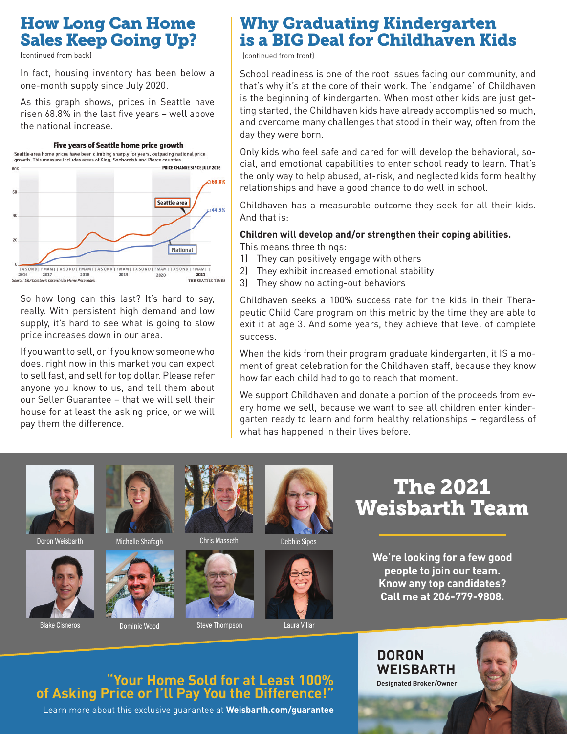# How Long Can Home Sales Keep Going Up?

(continued from back)

In fact, housing inventory has been below a one-month supply since July 2020.

As this graph shows, prices in Seattle have risen 68.8% in the last five years – well above the national increase.



So how long can this last? It's hard to say, really. With persistent high demand and low supply, it's hard to see what is going to slow price increases down in our area.

If you want to sell, or if you know someone who does, right now in this market you can expect to sell fast, and sell for top dollar. Please refer anyone you know to us, and tell them about our Seller Guarantee – that we will sell their house for at least the asking price, or we will pay them the difference.

# Why Graduating Kindergarten is a BIG Deal for Childhaven Kids

(continued from front)

School readiness is one of the root issues facing our community, and that's why it's at the core of their work. The 'endgame' of Childhaven is the beginning of kindergarten. When most other kids are just getting started, the Childhaven kids have already accomplished so much, and overcome many challenges that stood in their way, often from the day they were born.

Only kids who feel safe and cared for will develop the behavioral, social, and emotional capabilities to enter school ready to learn. That's the only way to help abused, at-risk, and neglected kids form healthy relationships and have a good chance to do well in school.

Childhaven has a measurable outcome they seek for all their kids. And that is:

#### **Children will develop and/or strengthen their coping abilities.** This means three things:

- 1) They can positively engage with others
- 2) They exhibit increased emotional stability
- 3) They show no acting-out behaviors

Childhaven seeks a 100% success rate for the kids in their Therapeutic Child Care program on this metric by the time they are able to exit it at age 3. And some years, they achieve that level of complete success.

When the kids from their program graduate kindergarten, it IS a moment of great celebration for the Childhaven staff, because they know how far each child had to go to reach that moment.

We support Childhaven and donate a portion of the proceeds from every home we sell, because we want to see all children enter kindergarten ready to learn and form healthy relationships – regardless of what has happened in their lives before.







Doron Weisbarth Michelle Shafagh





Chris Masseth Debbie Sipes







Blake Cisneros **Dominic Wood** Steve Thompson Laura Villar

The 2021 Weisbarth Team

> **We're looking for a few good people to join our team. Know any top candidates? Call me at 206-779-9808.**

**DORON** 

**WEISBARTH Designated Broker/Owner**

# **"Your Home Sold for at Least 100% of Asking Price or I'll Pay You the Difference!"**

Learn more about this exclusive guarantee at **Weisbarth.com/guarantee**